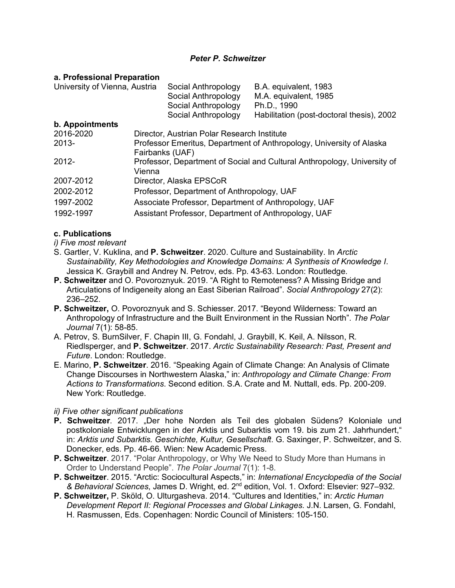# *Peter P. Schweitzer*

#### **a. Professional Preparation**

| University of Vienna, Austria | Social Anthropology<br>B.A. equivalent, 1983<br>M.A. equivalent, 1985<br>Social Anthropology<br>Social Anthropology<br>Ph.D., 1990 |
|-------------------------------|------------------------------------------------------------------------------------------------------------------------------------|
|                               | Habilitation (post-doctoral thesis), 2002<br>Social Anthropology                                                                   |
| b. Appointments               |                                                                                                                                    |
| 2016-2020                     | Director, Austrian Polar Research Institute                                                                                        |
| $2013 -$                      | Professor Emeritus, Department of Anthropology, University of Alaska<br>Fairbanks (UAF)                                            |
| $2012 -$                      | Professor, Department of Social and Cultural Anthropology, University of<br>Vienna                                                 |
| 2007-2012                     | Director, Alaska EPSCoR                                                                                                            |
| 2002-2012                     | Professor, Department of Anthropology, UAF                                                                                         |
| 1997-2002                     | Associate Professor, Department of Anthropology, UAF                                                                               |
| 1992-1997                     | Assistant Professor, Department of Anthropology, UAF                                                                               |

### **c. Publications**

- *i) Five most relevant*
- S. Gartler, V. Kuklina, and **P. Schweitzer**. 2020. Culture and Sustainability. In *Arctic Sustainability, Key Methodologies and Knowledge Domains: A Synthesis of Knowledge I*. Jessica K. Graybill and Andrey N. Petrov, eds. Pp. 43-63. London: Routledge.
- **P. Schweitzer** and O. Povoroznyuk. 2019. "A Right to Remoteness? A Missing Bridge and Articulations of Indigeneity along an East Siberian Railroad". *Social Anthropology* 27(2): 236–252.
- **P. Schweitzer,** O. Povoroznyuk and S. Schiesser. 2017. "Beyond Wilderness: Toward an Anthropology of Infrastructure and the Built Environment in the Russian North". *The Polar Journal* 7(1): 58-85.
- A. Petrov, S. BurnSilver, F. Chapin III, G. Fondahl, J. Graybill, K. Keil, A. Nilsson, R. Riedlsperger, and **P. Schweitzer**. 2017. *Arctic Sustainability Research: Past, Present and Future*. London: Routledge.
- E. Marino, **P. Schweitzer**. 2016. "Speaking Again of Climate Change: An Analysis of Climate Change Discourses in Northwestern Alaska," in: *Anthropology and Climate Change: From Actions to Transformations*. Second edition. S.A. Crate and M. Nuttall, eds. Pp. 200-209. New York: Routledge.

# *ii) Five other significant publications*

- **P. Schweitzer.** 2017. "Der hohe Norden als Teil des globalen Südens? Koloniale und postkoloniale Entwicklungen in der Arktis und Subarktis vom 19. bis zum 21. Jahrhundert," in: *Arktis und Subarktis. Geschichte, Kultur, Gesellschaft*. G. Saxinger, P. Schweitzer, and S. Donecker, eds. Pp. 46-66. Wien: New Academic Press.
- **P. Schweitzer**. 2017. "Polar Anthropology, or Why We Need to Study More than Humans in Order to Understand People". *The Polar Journal* 7(1): 1-8.
- **P. Schweitzer**. 2015. "Arctic: Sociocultural Aspects," in: *International Encyclopedia of the Social & Behavioral Sciences*, James D. Wright, ed. 2nd edition, Vol. 1. Oxford: Elsevier: 927–932.
- **P. Schweitzer,** P. Sköld, O. Ulturgasheva. 2014. "Cultures and Identities," in: *Arctic Human Development Report II: Regional Processes and Global Linkages*. J.N. Larsen, G. Fondahl, H. Rasmussen, Eds. Copenhagen: Nordic Council of Ministers: 105-150.